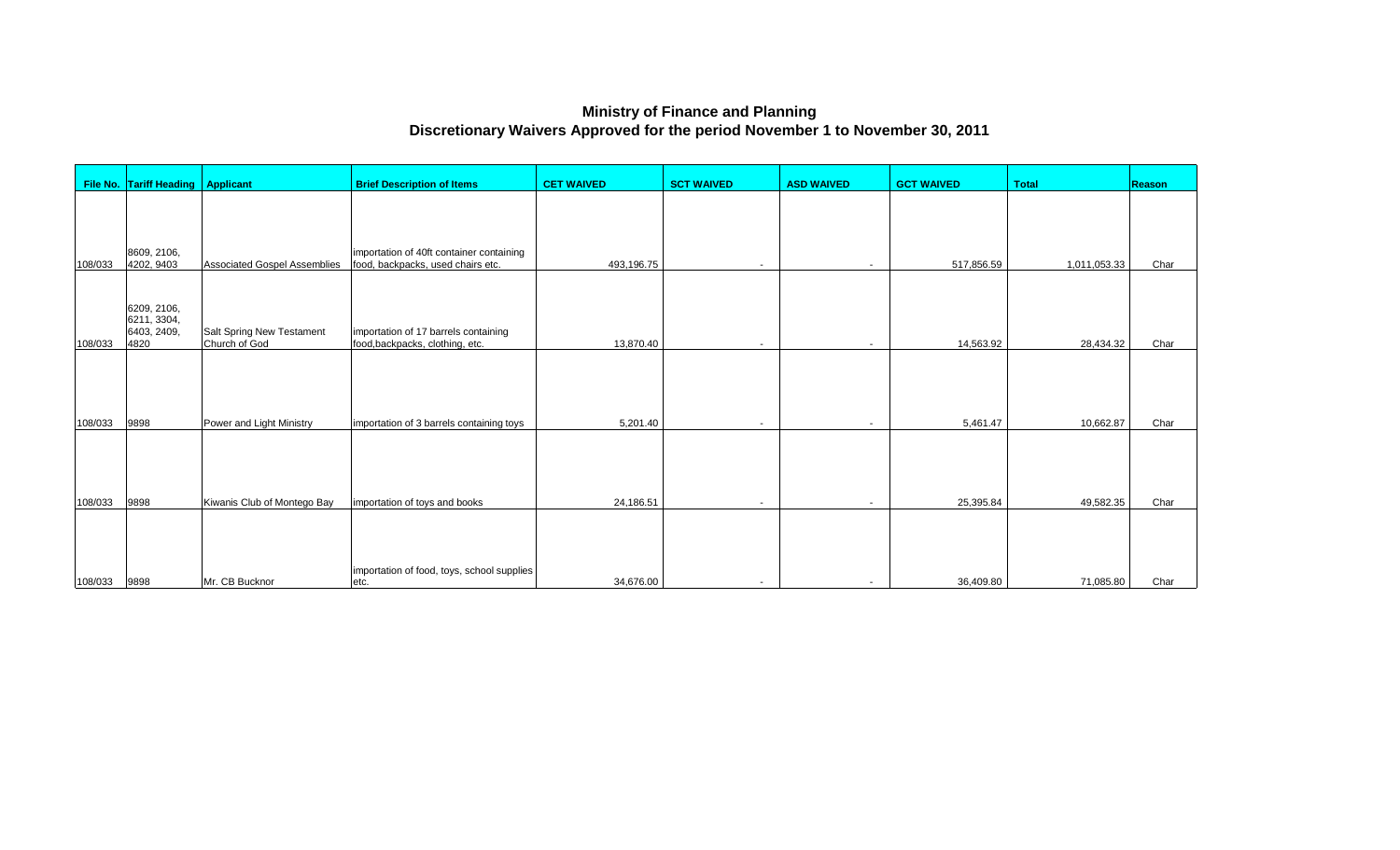## **Ministry of Finance and Planning Discretionary Waivers Approved for the period November 1 to November 30, 2011**

|         | File No. Tariff Heading   Applicant               |                                                   | <b>Brief Description of Items</b>                                             | <b>CET WAIVED</b> | <b>SCT WAIVED</b>        | <b>ASD WAIVED</b>        | <b>GCT WAIVED</b> | <b>Total</b> | <b>Reason</b> |
|---------|---------------------------------------------------|---------------------------------------------------|-------------------------------------------------------------------------------|-------------------|--------------------------|--------------------------|-------------------|--------------|---------------|
| 108/033 | 8609, 2106,<br>4202, 9403                         | <b>Associated Gospel Assemblies</b>               | importation of 40ft container containing<br>food, backpacks, used chairs etc. | 493,196.75        | $\overline{\phantom{0}}$ | $\overline{\phantom{0}}$ | 517,856.59        | 1,011,053.33 | Char          |
| 108/033 | 6209, 2106,<br>6211, 3304,<br>6403, 2409,<br>4820 | <b>Salt Spring New Testament</b><br>Church of God | importation of 17 barrels containing<br>food, backpacks, clothing, etc.       | 13,870.40         |                          | $\overline{\phantom{a}}$ | 14,563.92         | 28,434.32    | Char          |
| 108/033 | 9898                                              | Power and Light Ministry                          | importation of 3 barrels containing toys                                      | 5,201.40          |                          | $\overline{\phantom{a}}$ | 5,461.47          | 10,662.87    | Char          |
| 108/033 | 9898                                              | Kiwanis Club of Montego Bay                       | importation of toys and books                                                 | 24,186.51         |                          |                          | 25,395.84         | 49,582.35    | Char          |
| 108/033 | 9898                                              | Mr. CB Bucknor                                    | importation of food, toys, school supplies<br>etc.                            | 34,676.00         | $\overline{\phantom{a}}$ | $\overline{\phantom{0}}$ | 36,409.80         | 71,085.80    | Char          |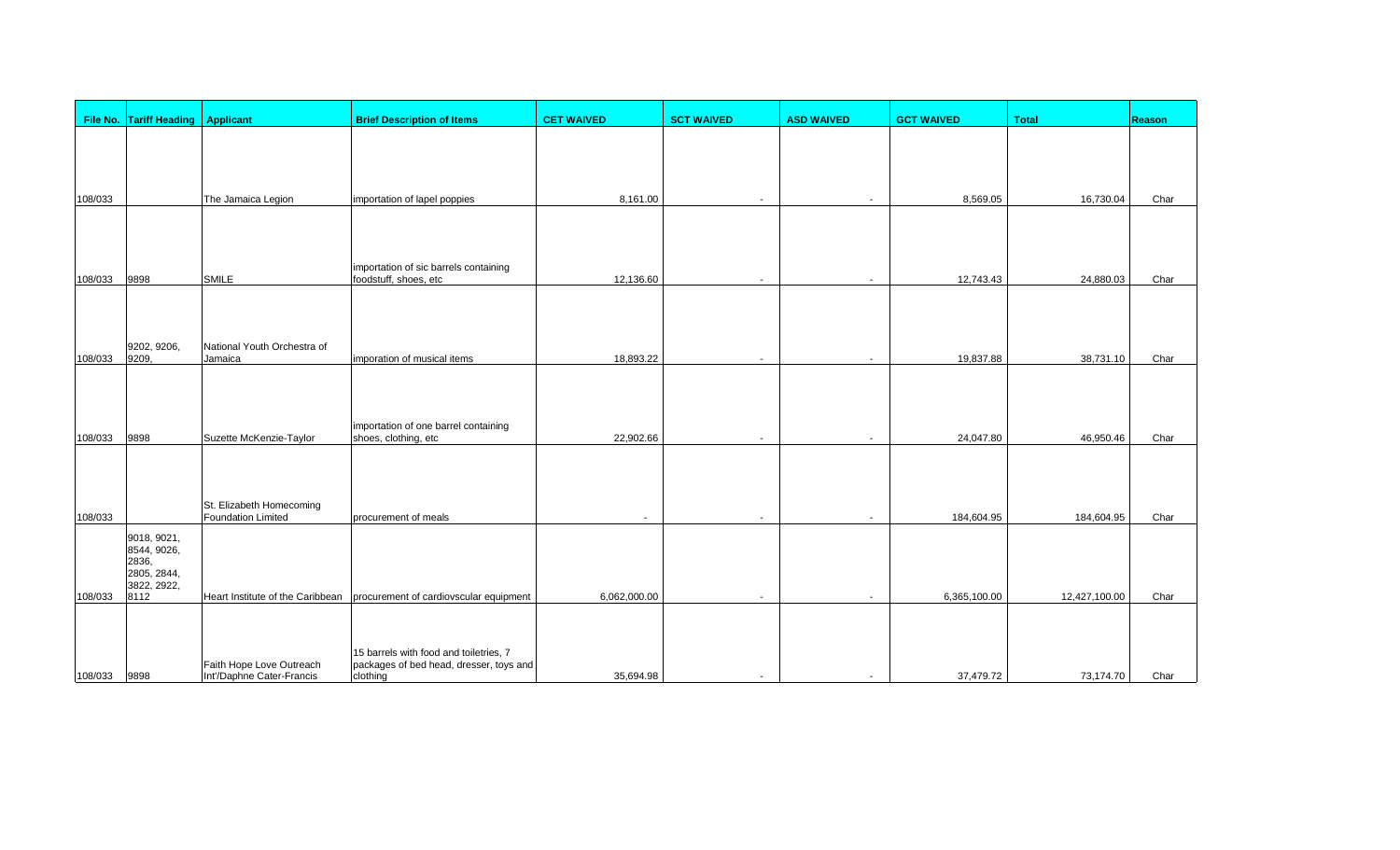|         | File No. Tariff Heading   Applicant |                                                       | <b>Brief Description of Items</b>                                         | <b>CET WAIVED</b> | <b>SCT WAIVED</b> | <b>ASD WAIVED</b> | <b>GCT WAIVED</b> | <b>Total</b>  | <b>Reason</b> |
|---------|-------------------------------------|-------------------------------------------------------|---------------------------------------------------------------------------|-------------------|-------------------|-------------------|-------------------|---------------|---------------|
|         |                                     |                                                       |                                                                           |                   |                   |                   |                   |               |               |
|         |                                     |                                                       |                                                                           |                   |                   |                   |                   |               |               |
| 108/033 |                                     | The Jamaica Legion                                    | importation of lapel poppies                                              | 8,161.00          |                   |                   | 8,569.05          | 16,730.04     | Char          |
|         |                                     |                                                       |                                                                           |                   |                   |                   |                   |               |               |
|         |                                     |                                                       |                                                                           |                   |                   |                   |                   |               |               |
|         |                                     |                                                       | importation of sic barrels containing                                     |                   |                   |                   |                   |               |               |
| 108/033 | 9898                                | <b>SMILE</b>                                          | foodstuff, shoes, etc                                                     | 12,136.60         | $\blacksquare$    |                   | 12,743.43         | 24,880.03     | Char          |
|         |                                     |                                                       |                                                                           |                   |                   |                   |                   |               |               |
|         | 9202, 9206,                         | National Youth Orchestra of                           |                                                                           |                   |                   |                   |                   |               |               |
| 108/033 | 9209,                               | Jamaica                                               | imporation of musical items                                               | 18,893.22         |                   |                   | 19,837.88         | 38,731.10     | Char          |
|         |                                     |                                                       |                                                                           |                   |                   |                   |                   |               |               |
|         |                                     |                                                       |                                                                           |                   |                   |                   |                   |               |               |
| 108/033 | 9898                                | Suzette McKenzie-Taylor                               | importation of one barrel containing<br>shoes, clothing, etc              | 22,902.66         | $\sim$            |                   | 24,047.80         | 46,950.46     | Char          |
|         |                                     |                                                       |                                                                           |                   |                   |                   |                   |               |               |
|         |                                     |                                                       |                                                                           |                   |                   |                   |                   |               |               |
| 108/033 |                                     | St. Elizabeth Homecoming<br><b>Foundation Limited</b> | procurement of meals                                                      | $\overline{a}$    | $\blacksquare$    |                   | 184,604.95        | 184,604.95    | Char          |
|         | 9018, 9021,                         |                                                       |                                                                           |                   |                   |                   |                   |               |               |
|         | 8544, 9026,<br>2836,                |                                                       |                                                                           |                   |                   |                   |                   |               |               |
|         | 2805, 2844,<br>3822, 2922,          |                                                       |                                                                           |                   |                   |                   |                   |               |               |
| 108/033 | 8112                                |                                                       | Heart Institute of the Caribbean   procurement of cardiovscular equipment | 6,062,000.00      |                   |                   | 6,365,100.00      | 12,427,100.00 | Char          |
|         |                                     |                                                       |                                                                           |                   |                   |                   |                   |               |               |
|         |                                     |                                                       | 15 barrels with food and toiletries, 7                                    |                   |                   |                   |                   |               |               |
| 108/033 | 9898                                | Faith Hope Love Outreach<br>Int'/Daphne Cater-Francis | packages of bed head, dresser, toys and<br>clothing                       | 35,694.98         |                   |                   | 37,479.72         | 73,174.70     | Char          |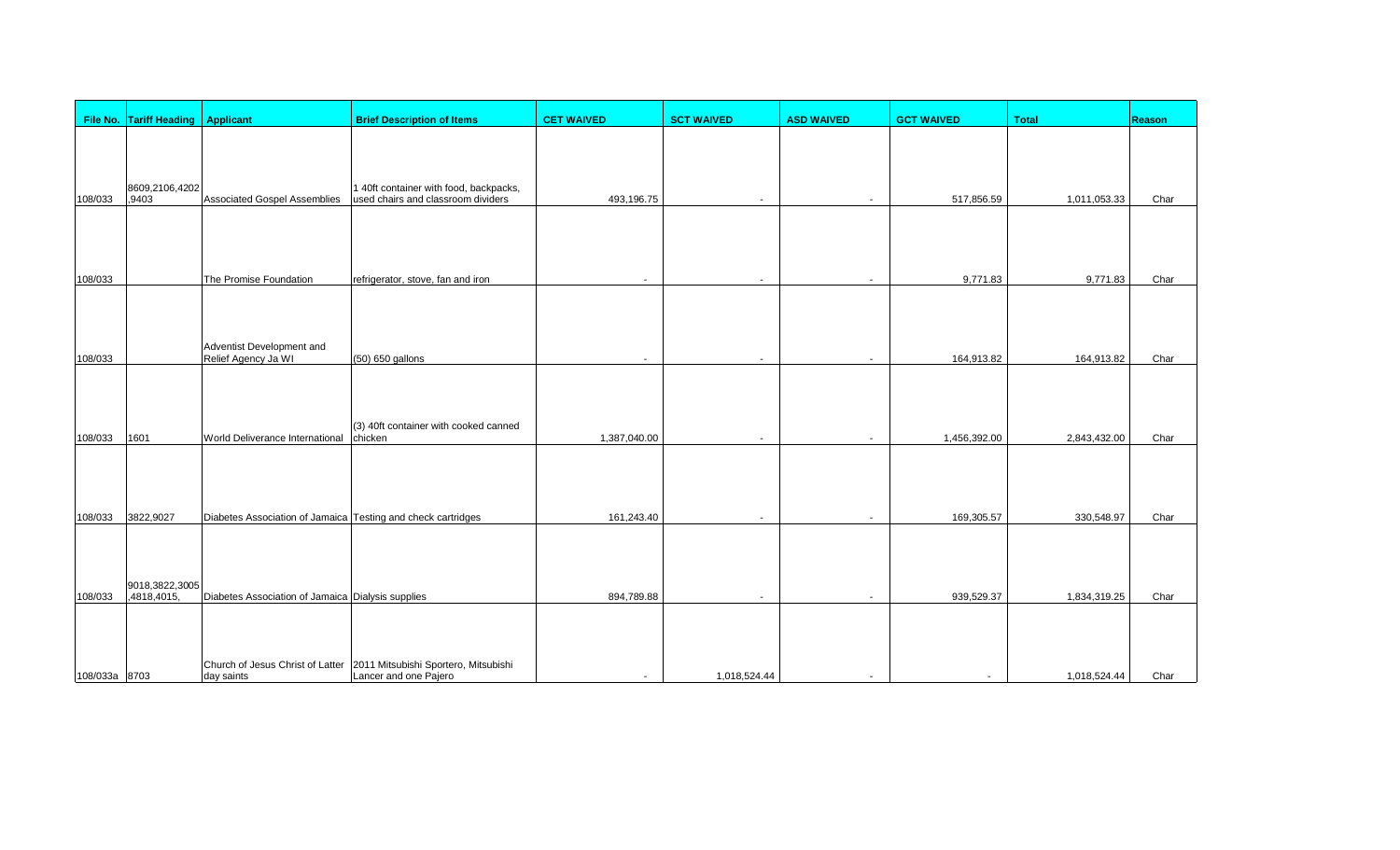|               | File No. Tariff Heading   Applicant |                                                              | <b>Brief Description of Items</b>                                                              | <b>CET WAIVED</b>        | <b>SCT WAIVED</b>        | <b>ASD WAIVED</b>        | <b>GCT WAIVED</b> | <b>Total</b> | Reason |
|---------------|-------------------------------------|--------------------------------------------------------------|------------------------------------------------------------------------------------------------|--------------------------|--------------------------|--------------------------|-------------------|--------------|--------|
|               |                                     |                                                              |                                                                                                |                          |                          |                          |                   |              |        |
| 108/033       | 8609,2106,4202<br>,9403             | Associated Gospel Assemblies                                 | 1 40ft container with food, backpacks,<br>used chairs and classroom dividers                   | 493,196.75               | $\blacksquare$           |                          | 517,856.59        | 1,011,053.33 | Char   |
|               |                                     |                                                              |                                                                                                |                          |                          |                          |                   |              |        |
| 108/033       |                                     | The Promise Foundation                                       | refrigerator, stove, fan and iron                                                              |                          | $\blacksquare$           |                          | 9,771.83          | 9,771.83     | Char   |
| 108/033       |                                     | Adventist Development and<br>Relief Agency Ja WI             |                                                                                                | $\overline{\phantom{a}}$ | $\overline{a}$           |                          | 164,913.82        |              | Char   |
|               |                                     |                                                              | (50) 650 gallons                                                                               |                          |                          |                          |                   | 164,913.82   |        |
| 108/033       | 1601                                | World Deliverance International                              | (3) 40ft container with cooked canned<br>chicken                                               | 1,387,040.00             | $\overline{\phantom{a}}$ |                          | 1,456,392.00      | 2,843,432.00 | Char   |
| 108/033       | 3822,9027                           | Diabetes Association of Jamaica Testing and check cartridges |                                                                                                | 161,243.40               | $\overline{a}$           | $\overline{\phantom{a}}$ | 169,305.57        | 330,548.97   | Char   |
| 108/033       | 9018,3822,3005<br>,4818,4015,       | Diabetes Association of Jamaica Dialysis supplies            |                                                                                                | 894,789.88               | $\overline{\phantom{a}}$ |                          | 939,529.37        | 1,834,319.25 | Char   |
|               |                                     |                                                              |                                                                                                |                          |                          |                          |                   |              |        |
| 108/033a 8703 |                                     | day saints                                                   | Church of Jesus Christ of Latter 2011 Mitsubishi Sportero, Mitsubishi<br>Lancer and one Pajero | $\overline{\phantom{a}}$ | 1,018,524.44             | $\overline{\phantom{a}}$ |                   | 1,018,524.44 | Char   |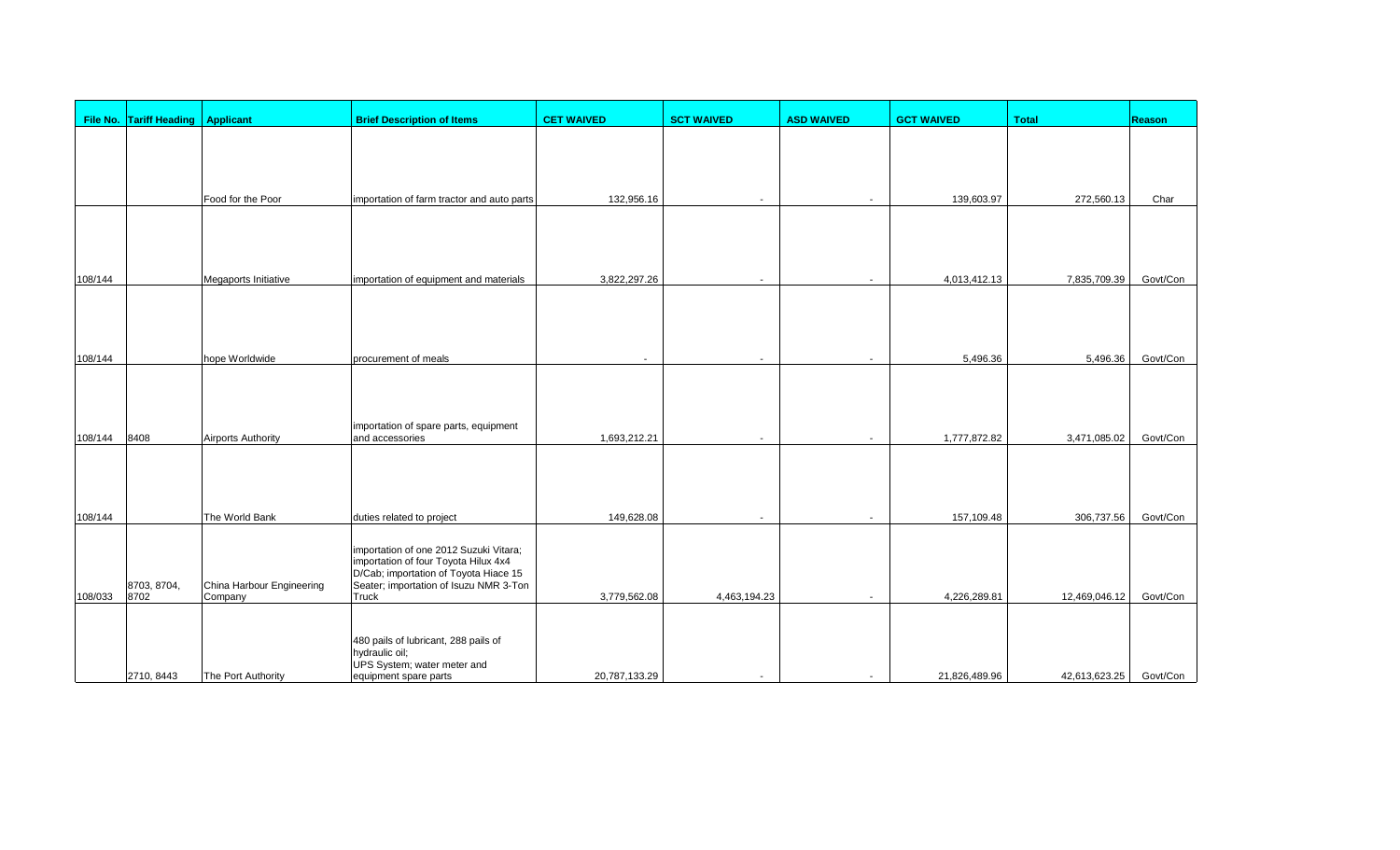|         | File No. Tariff Heading   Applicant |                           | <b>Brief Description of Items</b>                                             | <b>CET WAIVED</b> | <b>SCT WAIVED</b>        | <b>ASD WAIVED</b>        | <b>GCT WAIVED</b> | <b>Total</b>  | <b>Reason</b> |
|---------|-------------------------------------|---------------------------|-------------------------------------------------------------------------------|-------------------|--------------------------|--------------------------|-------------------|---------------|---------------|
|         |                                     |                           |                                                                               |                   |                          |                          |                   |               |               |
|         |                                     |                           |                                                                               |                   |                          |                          |                   |               |               |
|         |                                     |                           |                                                                               |                   |                          |                          |                   |               |               |
|         |                                     | Food for the Poor         | importation of farm tractor and auto parts                                    | 132,956.16        | $\overline{\phantom{a}}$ |                          | 139,603.97        | 272,560.13    | Char          |
|         |                                     |                           |                                                                               |                   |                          |                          |                   |               |               |
|         |                                     |                           |                                                                               |                   |                          |                          |                   |               |               |
| 108/144 |                                     | Megaports Initiative      | importation of equipment and materials                                        | 3,822,297.26      | $\overline{\phantom{a}}$ |                          | 4,013,412.13      | 7,835,709.39  | Govt/Con      |
|         |                                     |                           |                                                                               |                   |                          |                          |                   |               |               |
|         |                                     |                           |                                                                               |                   |                          |                          |                   |               |               |
|         |                                     |                           |                                                                               |                   |                          |                          |                   |               |               |
| 108/144 |                                     | hope Worldwide            | procurement of meals                                                          | $\overline{a}$    | $\overline{\phantom{a}}$ |                          | 5,496.36          | 5,496.36      | Govt/Con      |
|         |                                     |                           |                                                                               |                   |                          |                          |                   |               |               |
|         |                                     |                           |                                                                               |                   |                          |                          |                   |               |               |
| 108/144 | 8408                                | <b>Airports Authority</b> | importation of spare parts, equipment<br>and accessories                      | 1,693,212.21      | $\overline{a}$           |                          | 1,777,872.82      | 3,471,085.02  | Govt/Con      |
|         |                                     |                           |                                                                               |                   |                          |                          |                   |               |               |
|         |                                     |                           |                                                                               |                   |                          |                          |                   |               |               |
|         |                                     |                           |                                                                               |                   |                          |                          |                   |               |               |
| 108/144 |                                     | The World Bank            | duties related to project                                                     | 149,628.08        | $\overline{a}$           | $\overline{\phantom{a}}$ | 157,109.48        | 306,737.56    | Govt/Con      |
|         |                                     |                           | importation of one 2012 Suzuki Vitara;                                        |                   |                          |                          |                   |               |               |
|         |                                     |                           | importation of four Toyota Hilux 4x4<br>D/Cab; importation of Toyota Hiace 15 |                   |                          |                          |                   |               |               |
|         | 8703, 8704,                         | China Harbour Engineering | Seater; importation of Isuzu NMR 3-Ton                                        |                   |                          |                          |                   |               |               |
| 108/033 | 8702                                | Company                   | Truck                                                                         | 3,779,562.08      | 4,463,194.23             |                          | 4,226,289.81      | 12,469,046.12 | Govt/Con      |
|         |                                     |                           |                                                                               |                   |                          |                          |                   |               |               |
|         |                                     |                           | 480 pails of lubricant, 288 pails of<br>hydraulic oil;                        |                   |                          |                          |                   |               |               |
|         | 2710, 8443                          | The Port Authority        | UPS System; water meter and<br>equipment spare parts                          | 20,787,133.29     | $\sim$                   |                          | 21,826,489.96     | 42,613,623.25 | Govt/Con      |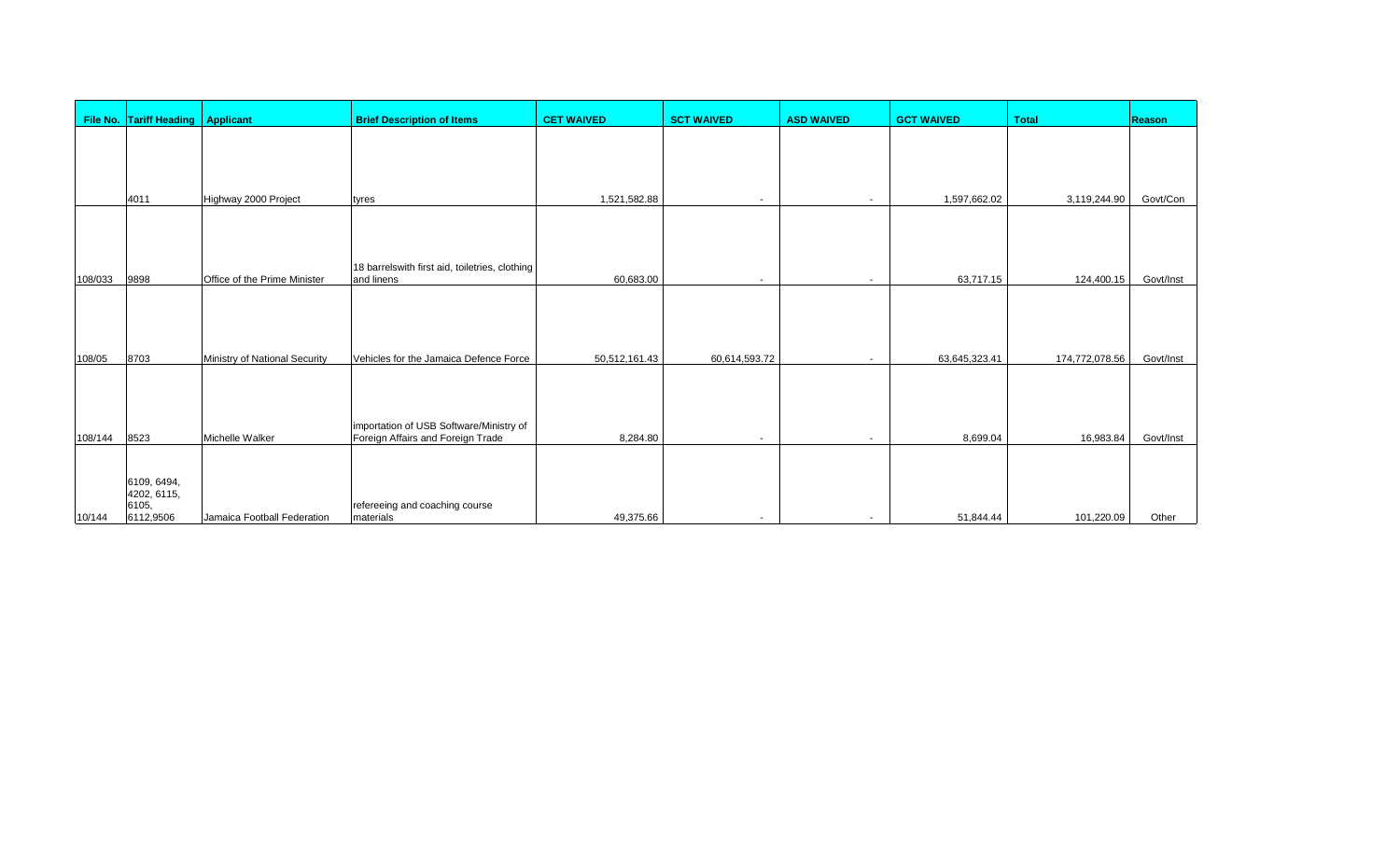|                   | File No. Tariff Heading   Applicant              |                                                  | <b>Brief Description of Items</b>                                                                                      | <b>CET WAIVED</b>         | <b>SCT WAIVED</b>        | <b>ASD WAIVED</b>        | <b>GCT WAIVED</b>         | <b>Total</b>                | Reason                 |
|-------------------|--------------------------------------------------|--------------------------------------------------|------------------------------------------------------------------------------------------------------------------------|---------------------------|--------------------------|--------------------------|---------------------------|-----------------------------|------------------------|
|                   | 4011                                             | Highway 2000 Project                             | tyres                                                                                                                  | 1,521,582.88              | $\overline{\phantom{a}}$ |                          | 1,597,662.02              | 3,119,244.90                | Govt/Con               |
| 108/033           | 9898                                             | Office of the Prime Minister                     | 18 barrelswith first aid, toiletries, clothing<br>and linens                                                           | 60,683.00                 | $\overline{\phantom{a}}$ | $\overline{\phantom{a}}$ | 63,717.15                 | 124,400.15                  | Govt/Inst              |
|                   |                                                  |                                                  |                                                                                                                        |                           |                          |                          |                           |                             |                        |
| 108/05<br>108/144 | 8703<br>8523                                     | Ministry of National Security<br>Michelle Walker | Vehicles for the Jamaica Defence Force<br>importation of USB Software/Ministry of<br>Foreign Affairs and Foreign Trade | 50,512,161.43<br>8,284.80 | 60,614,593.72<br>$\sim$  |                          | 63,645,323.41<br>8,699.04 | 174,772,078.56<br>16,983.84 | Govt/Inst<br>Govt/Inst |
| 10/144            | 6109, 6494,<br>4202, 6115,<br>6105,<br>6112,9506 | Jamaica Football Federation                      | refereeing and coaching course<br>materials                                                                            | 49,375.66                 | $\overline{\phantom{a}}$ | $\overline{\phantom{a}}$ | 51,844.44                 | 101,220.09                  | Other                  |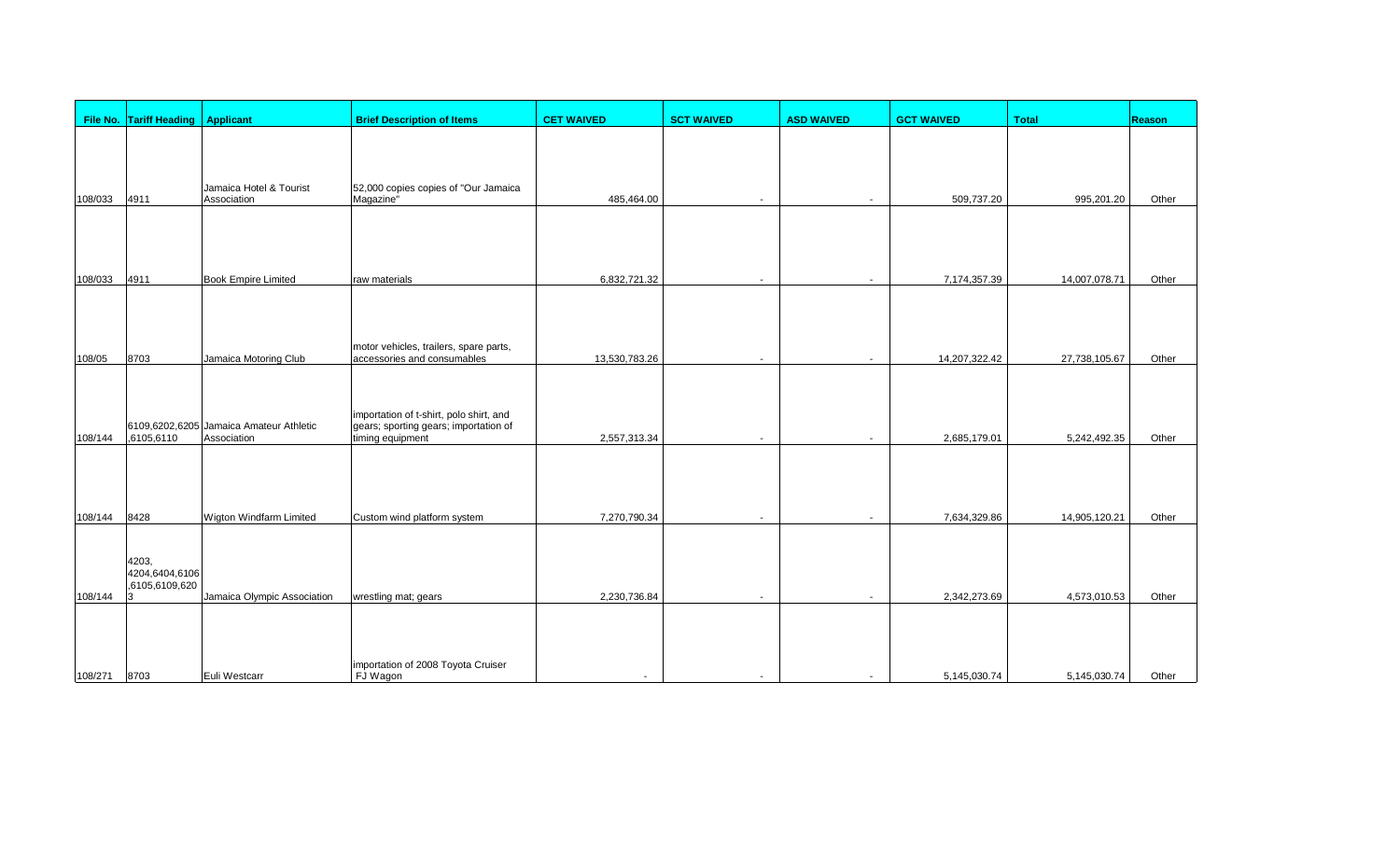|         | File No. Tariff Heading   Applicant             |                                                        | <b>Brief Description of Items</b>                                                                    | <b>CET WAIVED</b>        | <b>SCT WAIVED</b>        | <b>ASD WAIVED</b>        | <b>GCT WAIVED</b> | <b>Total</b>  | <b>Reason</b> |
|---------|-------------------------------------------------|--------------------------------------------------------|------------------------------------------------------------------------------------------------------|--------------------------|--------------------------|--------------------------|-------------------|---------------|---------------|
|         |                                                 |                                                        |                                                                                                      |                          |                          |                          |                   |               |               |
| 108/033 | 4911                                            | Jamaica Hotel & Tourist<br>Association                 | 52,000 copies copies of "Our Jamaica<br>Magazine <sup>"</sup>                                        | 485,464.00               | $\overline{\phantom{a}}$ |                          | 509,737.20        | 995,201.20    | Other         |
|         |                                                 |                                                        |                                                                                                      |                          |                          |                          |                   |               |               |
| 108/033 | 4911                                            | <b>Book Empire Limited</b>                             | raw materials                                                                                        | 6,832,721.32             | $\overline{\phantom{a}}$ |                          | 7,174,357.39      | 14,007,078.71 | Other         |
| 108/05  | 8703                                            | Jamaica Motoring Club                                  | motor vehicles, trailers, spare parts,<br>accessories and consumables                                | 13,530,783.26            | $\overline{\phantom{a}}$ |                          | 14,207,322.42     | 27,738,105.67 | Other         |
|         |                                                 |                                                        |                                                                                                      |                          |                          |                          |                   |               |               |
| 108/144 | .6105,6110                                      | 6109,6202,6205 Jamaica Amateur Athletic<br>Association | importation of t-shirt, polo shirt, and<br>gears; sporting gears; importation of<br>timing equipment | 2,557,313.34             | $\overline{\phantom{a}}$ | $\overline{\phantom{a}}$ | 2,685,179.01      | 5,242,492.35  | Other         |
| 108/144 | 8428                                            | Wigton Windfarm Limited                                | Custom wind platform system                                                                          | 7,270,790.34             | $\sim$                   | $\overline{\phantom{a}}$ | 7,634,329.86      | 14,905,120.21 | Other         |
| 108/144 | 4203,<br>4204,6404,6106<br>,6105,6109,620<br>13 | Jamaica Olympic Association                            | wrestling mat; gears                                                                                 | 2,230,736.84             | $\overline{\phantom{0}}$ |                          | 2,342,273.69      | 4,573,010.53  | Other         |
|         |                                                 |                                                        |                                                                                                      |                          |                          |                          |                   |               |               |
| 108/271 | 8703                                            | Euli Westcarr                                          | importation of 2008 Toyota Cruiser<br>FJ Wagon                                                       | $\overline{\phantom{a}}$ | $\overline{\phantom{0}}$ | $\overline{\phantom{a}}$ | 5,145,030.74      | 5,145,030.74  | Other         |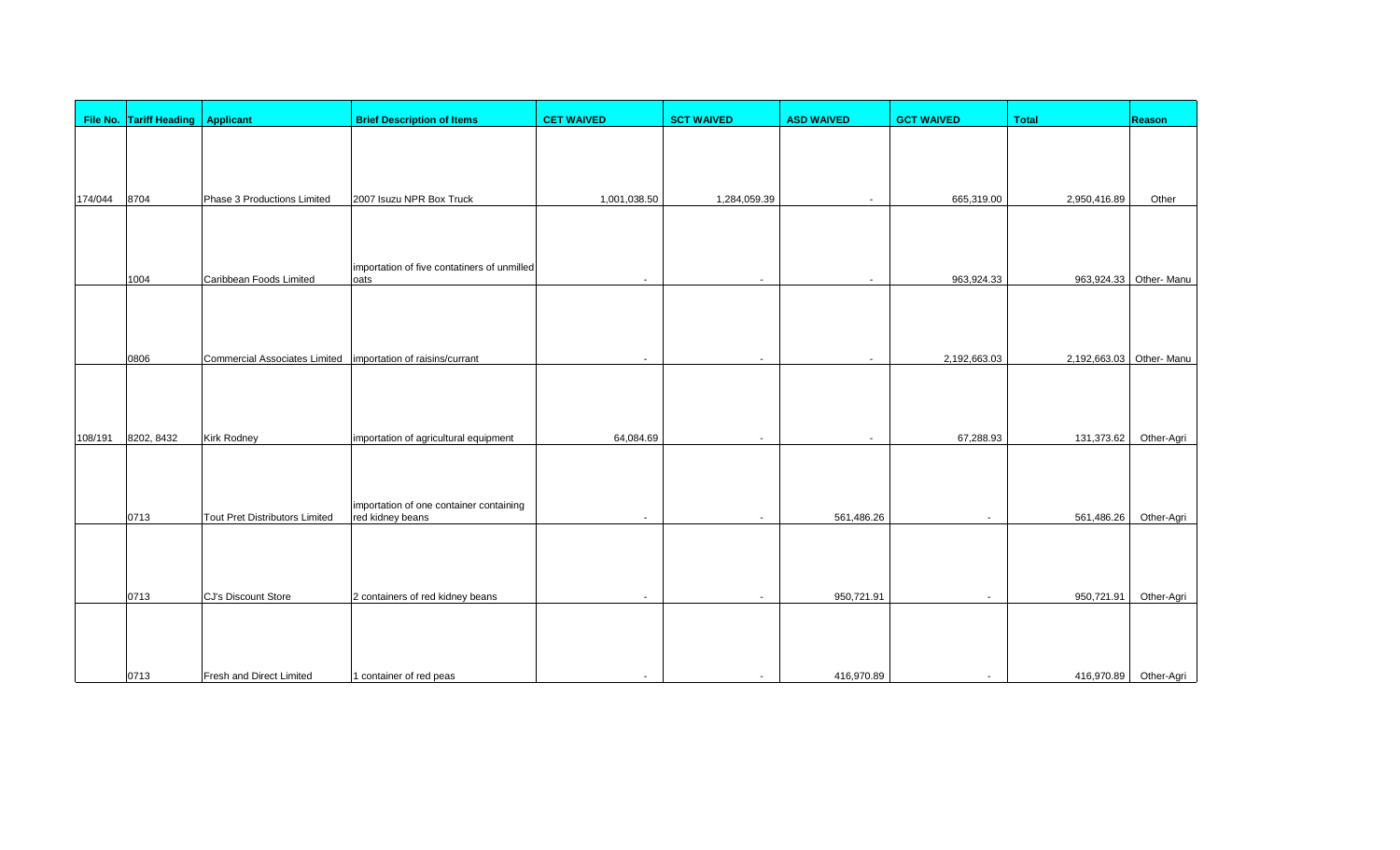|         | File No. Tariff Heading Applicant |                                                                | <b>Brief Description of Items</b>                           | <b>CET WAIVED</b>        | <b>SCT WAIVED</b>        | <b>ASD WAIVED</b>        | <b>GCT WAIVED</b>        | <b>Total</b>             | Reason                 |
|---------|-----------------------------------|----------------------------------------------------------------|-------------------------------------------------------------|--------------------------|--------------------------|--------------------------|--------------------------|--------------------------|------------------------|
|         |                                   |                                                                |                                                             |                          |                          |                          |                          |                          |                        |
|         |                                   |                                                                |                                                             |                          |                          |                          |                          |                          |                        |
|         |                                   |                                                                |                                                             |                          |                          |                          |                          |                          |                        |
| 174/044 | 8704                              | Phase 3 Productions Limited                                    | 2007 Isuzu NPR Box Truck                                    | 1,001,038.50             | 1,284,059.39             |                          | 665,319.00               | 2,950,416.89             | Other                  |
|         |                                   |                                                                |                                                             |                          |                          |                          |                          |                          |                        |
|         |                                   |                                                                |                                                             |                          |                          |                          |                          |                          |                        |
|         | 1004                              | Caribbean Foods Limited                                        | importation of five contatiners of unmilled<br>oats         |                          | $\overline{\phantom{a}}$ |                          | 963,924.33               |                          | 963,924.33 Other- Manu |
|         |                                   |                                                                |                                                             |                          |                          |                          |                          |                          |                        |
|         |                                   |                                                                |                                                             |                          |                          |                          |                          |                          |                        |
|         | 0806                              | Commercial Associates Limited   importation of raisins/currant |                                                             | $\overline{\phantom{a}}$ | $\overline{a}$           |                          | 2,192,663.03             | 2,192,663.03 Other- Manu |                        |
|         |                                   |                                                                |                                                             |                          |                          |                          |                          |                          |                        |
|         |                                   |                                                                |                                                             |                          |                          |                          |                          |                          |                        |
|         |                                   |                                                                |                                                             |                          |                          |                          |                          |                          |                        |
| 108/191 | 8202, 8432                        | Kirk Rodney                                                    | importation of agricultural equipment                       | 64,084.69                | $\overline{\phantom{a}}$ | $\overline{\phantom{a}}$ | 67,288.93                | 131,373.62               | Other-Agri             |
|         |                                   |                                                                |                                                             |                          |                          |                          |                          |                          |                        |
|         |                                   |                                                                |                                                             |                          |                          |                          |                          |                          |                        |
|         | 0713                              | Tout Pret Distributors Limited                                 | importation of one container containing<br>red kidney beans | $\sim$                   | $\overline{a}$           | 561,486.26               | $\overline{a}$           | 561,486.26               | Other-Agri             |
|         |                                   |                                                                |                                                             |                          |                          |                          |                          |                          |                        |
|         |                                   |                                                                |                                                             |                          |                          |                          |                          |                          |                        |
|         |                                   |                                                                |                                                             |                          |                          |                          |                          |                          |                        |
|         | 0713                              | CJ's Discount Store                                            | 2 containers of red kidney beans                            |                          |                          | 950,721.91               | $\overline{\phantom{0}}$ | 950,721.91               | Other-Agri             |
|         |                                   |                                                                |                                                             |                          |                          |                          |                          |                          |                        |
|         |                                   |                                                                |                                                             |                          |                          |                          |                          |                          |                        |
|         | 0713                              | <b>Fresh and Direct Limited</b>                                | 1 container of red peas                                     |                          | $\overline{a}$           | 416,970.89               | $\overline{\phantom{a}}$ |                          | 416,970.89 Other-Agri  |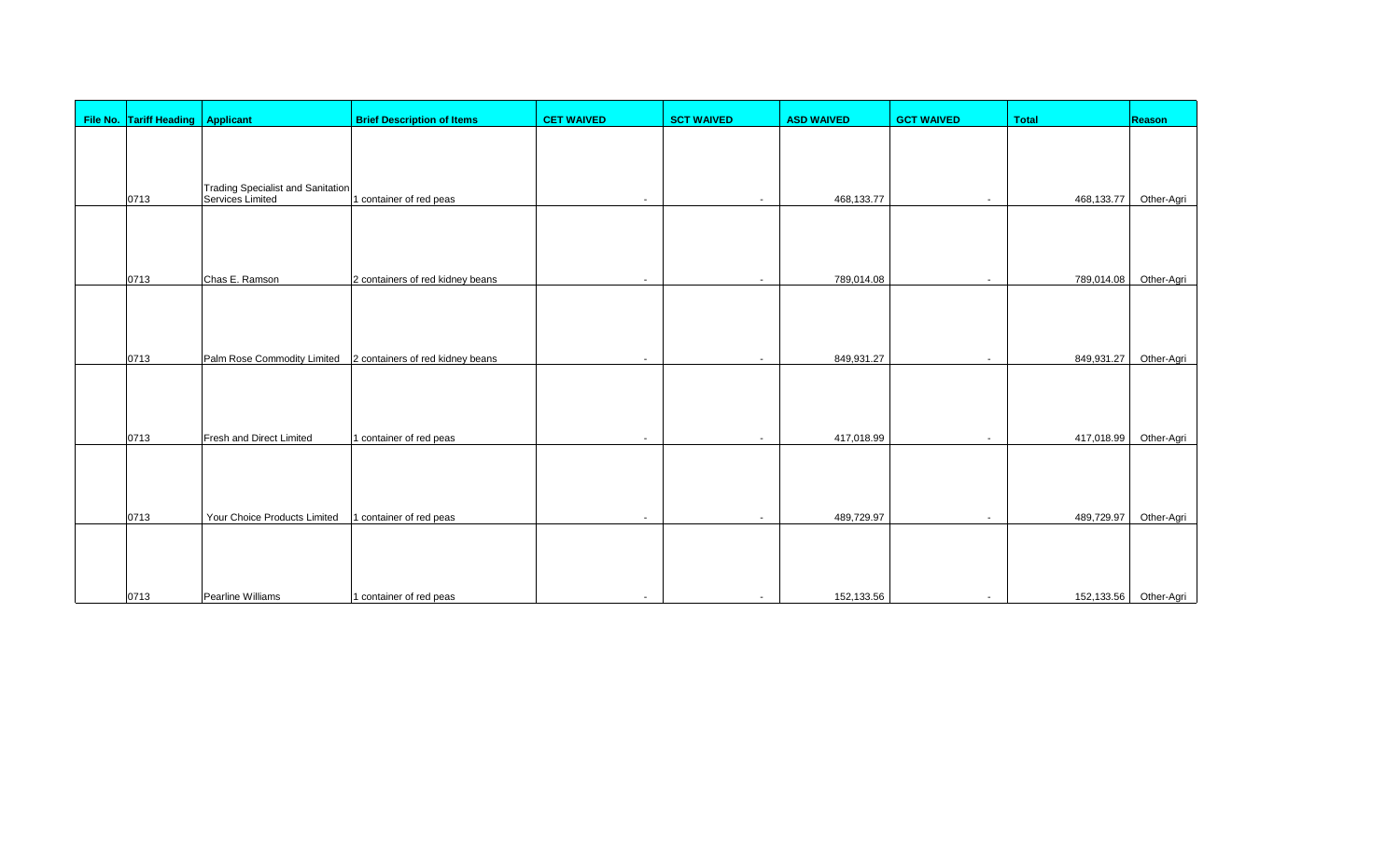| File No. Tariff Heading Applicant |                                                              | <b>Brief Description of Items</b>                            | <b>CET WAIVED</b>        | <b>SCT WAIVED</b> | <b>ASD WAIVED</b> | <b>GCT WAIVED</b>        | <b>Total</b> | <b>Reason</b>         |
|-----------------------------------|--------------------------------------------------------------|--------------------------------------------------------------|--------------------------|-------------------|-------------------|--------------------------|--------------|-----------------------|
|                                   |                                                              |                                                              |                          |                   |                   |                          |              |                       |
|                                   |                                                              |                                                              |                          |                   |                   |                          |              |                       |
|                                   |                                                              |                                                              |                          |                   |                   |                          |              |                       |
| 0713                              | <b>Trading Specialist and Sanitation</b><br>Services Limited | 1 container of red peas                                      | $\sim$                   | $\sim$            | 468,133.77        | $\overline{\phantom{a}}$ | 468,133.77   | Other-Agri            |
|                                   |                                                              |                                                              |                          |                   |                   |                          |              |                       |
|                                   |                                                              |                                                              |                          |                   |                   |                          |              |                       |
|                                   |                                                              |                                                              |                          |                   |                   |                          |              |                       |
| 0713                              | Chas E. Ramson                                               | 2 containers of red kidney beans                             | $\overline{\phantom{a}}$ | $\sim$            | 789,014.08        | $\overline{\phantom{a}}$ | 789,014.08   | Other-Agri            |
|                                   |                                                              |                                                              |                          |                   |                   |                          |              |                       |
|                                   |                                                              |                                                              |                          |                   |                   |                          |              |                       |
|                                   |                                                              |                                                              |                          |                   |                   |                          |              |                       |
| 0713                              |                                                              | Palm Rose Commodity Limited 2 containers of red kidney beans | $\overline{\phantom{a}}$ | $\sim$            | 849,931.27        | $\overline{\phantom{a}}$ | 849,931.27   | Other-Agri            |
|                                   |                                                              |                                                              |                          |                   |                   |                          |              |                       |
|                                   |                                                              |                                                              |                          |                   |                   |                          |              |                       |
|                                   |                                                              |                                                              |                          |                   |                   |                          |              |                       |
| 0713                              | Fresh and Direct Limited                                     | 1 container of red peas                                      | $\sim$                   | $\sim$            | 417,018.99        | $\overline{\phantom{a}}$ | 417,018.99   | Other-Agri            |
|                                   |                                                              |                                                              |                          |                   |                   |                          |              |                       |
|                                   |                                                              |                                                              |                          |                   |                   |                          |              |                       |
|                                   |                                                              |                                                              |                          |                   |                   |                          |              |                       |
| 0713                              | Your Choice Products Limited                                 | 1 container of red peas                                      | $\sim$                   | $\sim$            | 489,729.97        | $\overline{\phantom{a}}$ | 489,729.97   | Other-Agri            |
|                                   |                                                              |                                                              |                          |                   |                   |                          |              |                       |
|                                   |                                                              |                                                              |                          |                   |                   |                          |              |                       |
|                                   |                                                              |                                                              |                          |                   |                   |                          |              |                       |
| 0713                              | Pearline Williams                                            | 1 container of red peas                                      | $\overline{\phantom{a}}$ | $\sim$            | 152,133.56        | $\sim$                   |              | 152,133.56 Other-Agri |